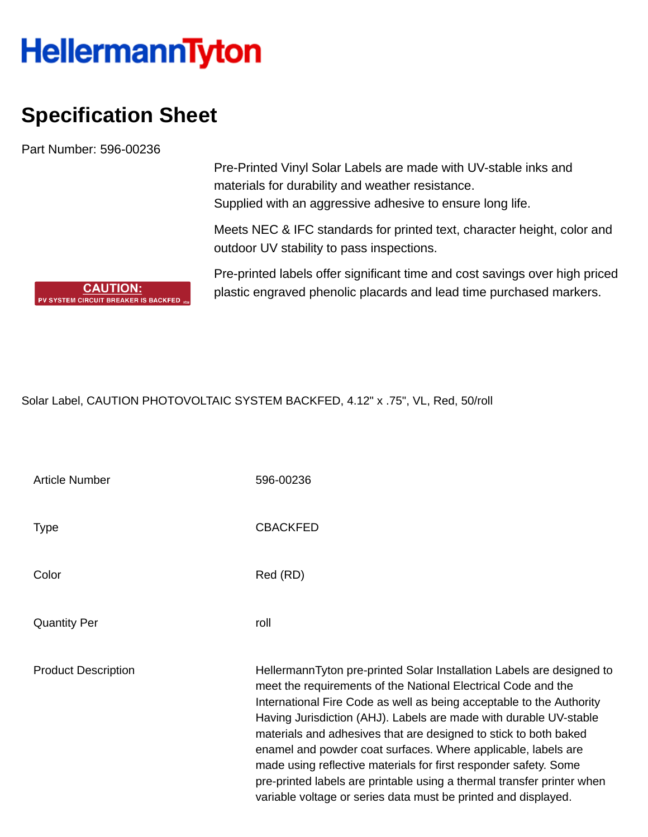## **HellermannTyton**

## **Specification Sheet**

**CAUTION:** PV SYSTEM CIRCUIT BREAKER IS BACKFED

Part Number: 596-00236

Pre-Printed Vinyl Solar Labels are made with UV-stable inks and materials for durability and weather resistance. Supplied with an aggressive adhesive to ensure long life.

Meets NEC & IFC standards for printed text, character height, color and outdoor UV stability to pass inspections.

Pre-printed labels offer significant time and cost savings over high priced plastic engraved phenolic placards and lead time purchased markers.

Solar Label, CAUTION PHOTOVOLTAIC SYSTEM BACKFED, 4.12" x .75", VL, Red, 50/roll

| <b>Article Number</b>      | 596-00236                                                                                                                                                                                                                                                                                                                                                                                                                                                                                                                                                                                                                                |
|----------------------------|------------------------------------------------------------------------------------------------------------------------------------------------------------------------------------------------------------------------------------------------------------------------------------------------------------------------------------------------------------------------------------------------------------------------------------------------------------------------------------------------------------------------------------------------------------------------------------------------------------------------------------------|
| Type                       | <b>CBACKFED</b>                                                                                                                                                                                                                                                                                                                                                                                                                                                                                                                                                                                                                          |
| Color                      | Red (RD)                                                                                                                                                                                                                                                                                                                                                                                                                                                                                                                                                                                                                                 |
| <b>Quantity Per</b>        | roll                                                                                                                                                                                                                                                                                                                                                                                                                                                                                                                                                                                                                                     |
| <b>Product Description</b> | HellermannTyton pre-printed Solar Installation Labels are designed to<br>meet the requirements of the National Electrical Code and the<br>International Fire Code as well as being acceptable to the Authority<br>Having Jurisdiction (AHJ). Labels are made with durable UV-stable<br>materials and adhesives that are designed to stick to both baked<br>enamel and powder coat surfaces. Where applicable, labels are<br>made using reflective materials for first responder safety. Some<br>pre-printed labels are printable using a thermal transfer printer when<br>variable voltage or series data must be printed and displayed. |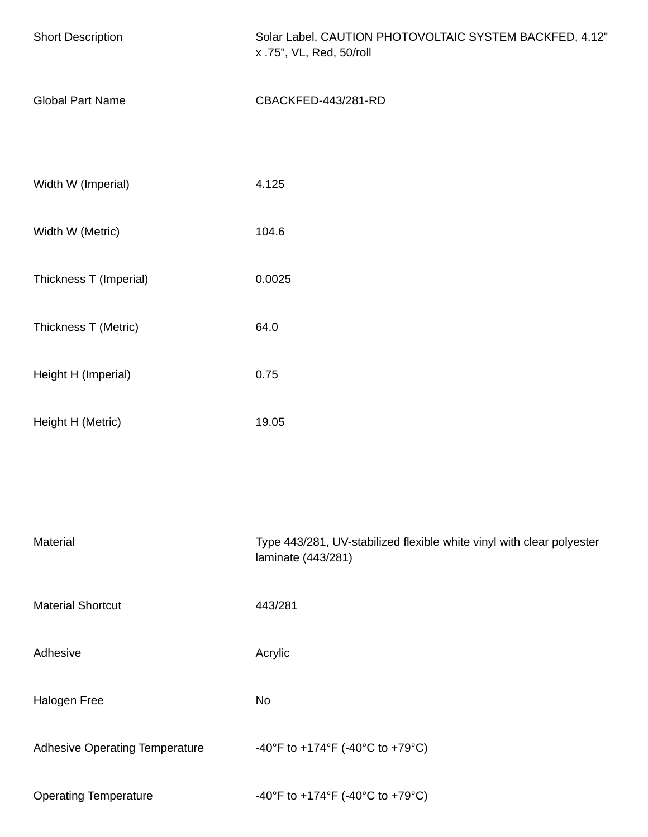| <b>Short Description</b>              | Solar Label, CAUTION PHOTOVOLTAIC SYSTEM BACKFED, 4.12"<br>x .75", VL, Red, 50/roll         |  |
|---------------------------------------|---------------------------------------------------------------------------------------------|--|
| <b>Global Part Name</b>               | CBACKFED-443/281-RD                                                                         |  |
|                                       |                                                                                             |  |
| Width W (Imperial)                    | 4.125                                                                                       |  |
| Width W (Metric)                      | 104.6                                                                                       |  |
| Thickness T (Imperial)                | 0.0025                                                                                      |  |
| Thickness T (Metric)                  | 64.0                                                                                        |  |
| Height H (Imperial)                   | 0.75                                                                                        |  |
| Height H (Metric)                     | 19.05                                                                                       |  |
|                                       |                                                                                             |  |
| Material                              | Type 443/281, UV-stabilized flexible white vinyl with clear polyester<br>laminate (443/281) |  |
| <b>Material Shortcut</b>              | 443/281                                                                                     |  |
| Adhesive                              | Acrylic                                                                                     |  |
| Halogen Free                          | No                                                                                          |  |
| <b>Adhesive Operating Temperature</b> | -40°F to +174°F (-40°C to +79°C)                                                            |  |
| <b>Operating Temperature</b>          | -40°F to +174°F (-40°C to +79°C)                                                            |  |